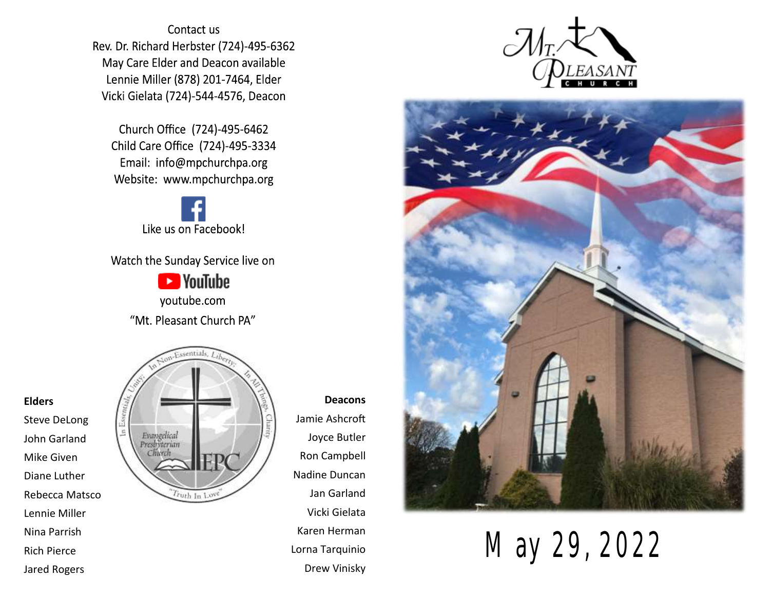Contact us Rev. Dr. Richard Herbster (724)-495-6362 May Care Elder and Deacon available Lennie Miller (878) 201-7464, Elder Vicki Gielata (724)-544-4576, Deacon

Church Office (724)-495-6462 Child Care Office (724)-495-3334 Email: info@mpchurchpa.org Website: www.mpchurchpa.org

Like us on Facebook!

Watch the Sunday Service live on

**Ex** YouTube youtube.com "Mt. Pleasant Church PA"



**Deacons** Jamie Ashcroft Joyce Butler Ron Campbell Nadine Duncan Jan Garland Vicki Gielata Karen Herman Lorna Tarquinio





Drew Vinisky May 29, 2022

#### **Elders**

Steve DeLong John Garland Mike Given Diane Luther Rebecca Matsco Lennie Miller Nina Parrish Rich Pierce Jared Rogers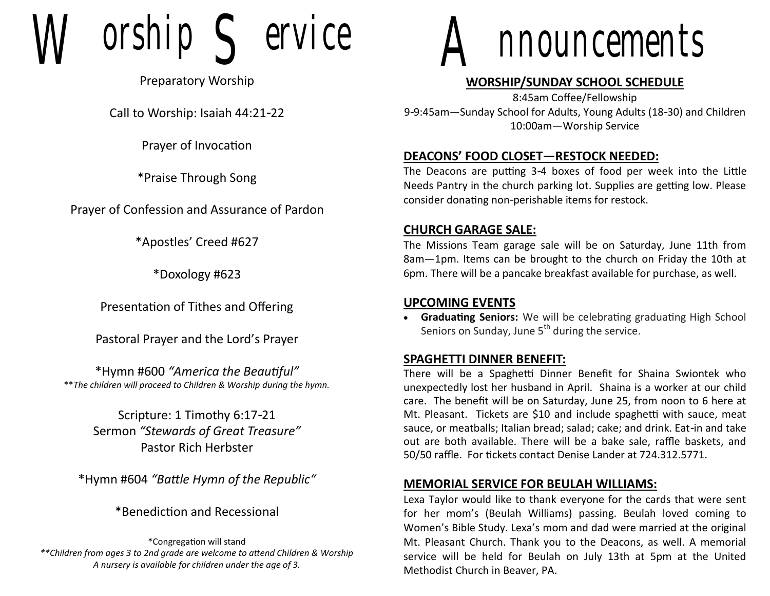$orship$   $\subseteq$  ervice

Preparatory Worship

Call to Worship: Isaiah 44:21-22

Prayer of Invocation

\*Praise Through Song

Prayer of Confession and Assurance of Pardon

\*Apostles' Creed #627

\*Doxology #623

Presentation of Tithes and Offering

Pastoral Prayer and the Lord's Prayer

\*Hymn #600 *"America the Beautiful"* \*\**The children will proceed to Children & Worship during the hymn.*

> Scripture: 1 Timothy 6:17-21 Sermon *"Stewards of Great Treasure"* Pastor Rich Herbster

\*Hymn #604 *"Battle Hymn of the Republic"*

\*Benediction and Recessional

\*Congregation will stand *\*\*Children from ages 3 to 2nd grade are welcome to attend Children & Worship A nursery is available for children under the age of 3.*



# **WORSHIP/SUNDAY SCHOOL SCHEDULE**

8:45am Coffee/Fellowship 9-9:45am—Sunday School for Adults, Young Adults (18-30) and Children 10:00am—Worship Service

# **DEACONS' FOOD CLOSET—RESTOCK NEEDED:**

The Deacons are putting 3-4 boxes of food per week into the Little Needs Pantry in the church parking lot. Supplies are getting low. Please consider donating non-perishable items for restock.

## **CHURCH GARAGE SALE:**

The Missions Team garage sale will be on Saturday, June 11th from 8am—1pm. Items can be brought to the church on Friday the 10th at 6pm. There will be a pancake breakfast available for purchase, as well.

#### **UPCOMING EVENTS**

• **Graduating Seniors:** We will be celebrating graduating High School Seniors on Sunday, June  $5<sup>th</sup>$  during the service.

#### **SPAGHETTI DINNER BENEFIT:**

There will be a Spaghetti Dinner Benefit for Shaina Swiontek who unexpectedly lost her husband in April. Shaina is a worker at our child care. The benefit will be on Saturday, June 25, from noon to 6 here at Mt. Pleasant. Tickets are \$10 and include spaghetti with sauce, meat sauce, or meatballs; Italian bread; salad; cake; and drink. Eat-in and take out are both available. There will be a bake sale, raffle baskets, and 50/50 raffle. For tickets contact Denise Lander at 724.312.5771.

# **MEMORIAL SERVICE FOR BEULAH WILLIAMS:**

Lexa Taylor would like to thank everyone for the cards that were sent for her mom's (Beulah Williams) passing. Beulah loved coming to Women's Bible Study. Lexa's mom and dad were married at the original Mt. Pleasant Church. Thank you to the Deacons, as well. A memorial service will be held for Beulah on July 13th at 5pm at the United Methodist Church in Beaver, PA.